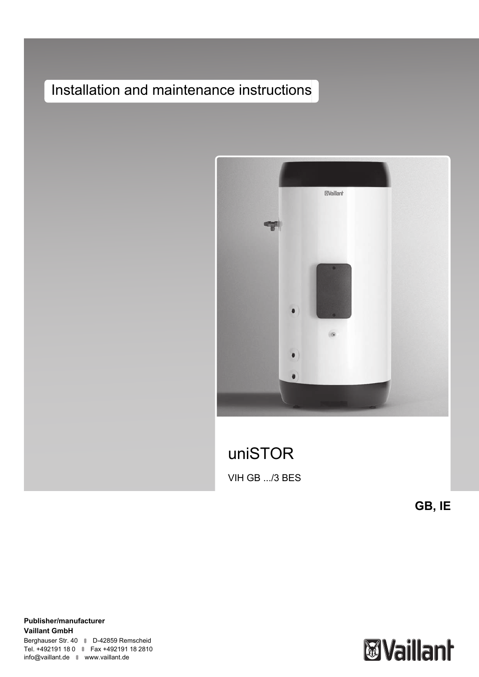# Installation and maintenance instructions



uniSTOR VIH GB .../3 BES

**GB, IE**

**Publisher/manufacturer Vaillant GmbH** Berghauser Str. 40 D-42859 Remscheid Tel. +492191 18 0 | Fax +492191 18 2810 info@vaillant.de www.vaillant.de

# **Waillant**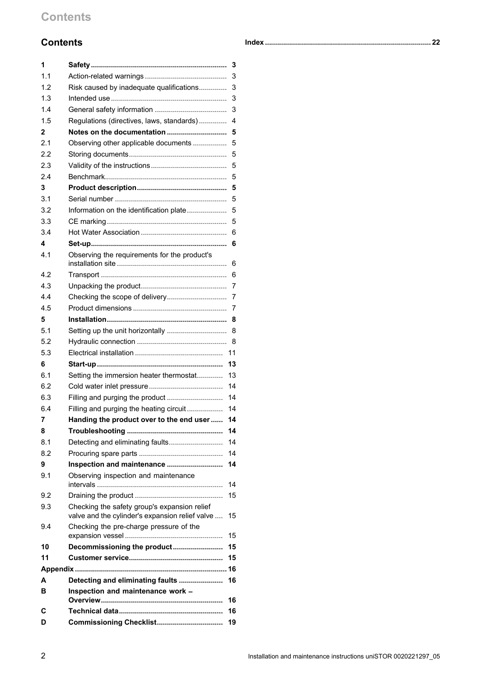# **Contents**

| 1   |                                                                                                 | 3  |
|-----|-------------------------------------------------------------------------------------------------|----|
| 1.1 |                                                                                                 | 3  |
| 1.2 | Risk caused by inadequate qualifications                                                        | 3  |
| 1.3 |                                                                                                 | 3  |
| 1.4 |                                                                                                 | 3  |
| 1.5 | Regulations (directives, laws, standards)                                                       | 4  |
| 2   |                                                                                                 | 5  |
| 2.1 | Observing other applicable documents                                                            | 5  |
| 2.2 |                                                                                                 | 5  |
| 2.3 |                                                                                                 | 5  |
| 2.4 |                                                                                                 | 5  |
| 3   |                                                                                                 | 5  |
| 3.1 |                                                                                                 | 5  |
| 3.2 | Information on the identification plate                                                         | 5  |
| 3.3 |                                                                                                 | 5  |
| 3.4 |                                                                                                 | 6  |
| 4   |                                                                                                 | 6  |
| 4.1 | Observing the requirements for the product's                                                    |    |
|     |                                                                                                 | 6  |
| 4.2 |                                                                                                 | 6  |
| 4.3 |                                                                                                 | 7  |
| 4.4 |                                                                                                 | 7  |
| 4.5 |                                                                                                 | 7  |
| 5   |                                                                                                 | 8  |
| 5.1 |                                                                                                 | 8  |
| 5.2 |                                                                                                 |    |
| 5.3 |                                                                                                 | 11 |
| 6   |                                                                                                 | 13 |
| 6.1 | Setting the immersion heater thermostat                                                         | 13 |
| 6.2 |                                                                                                 | 14 |
| 6.3 |                                                                                                 | 14 |
| 6.4 | Filling and purging the heating circuit                                                         | 14 |
| 7   | Handing the product over to the end user                                                        | 14 |
| 8   |                                                                                                 | 14 |
| 8.1 | Detecting and eliminating faults                                                                | 14 |
| 8.2 |                                                                                                 | 14 |
| 9   | Inspection and maintenance                                                                      | 14 |
| 9.1 | Observing inspection and maintenance                                                            |    |
|     |                                                                                                 | 14 |
| 9.2 |                                                                                                 | 15 |
| 9.3 | Checking the safety group's expansion relief<br>valve and the cylinder's expansion relief valve | 15 |
| 9.4 | Checking the pre-charge pressure of the                                                         | 15 |
| 10  | Decommissioning the product                                                                     | 15 |
| 11  |                                                                                                 | 15 |
|     |                                                                                                 |    |
| A   | Detecting and eliminating faults                                                                | 16 |
| в   | Inspection and maintenance work -                                                               | 16 |
| С   |                                                                                                 | 16 |
| D   | Commissioning Checklist                                                                         | 19 |
|     |                                                                                                 |    |

|--|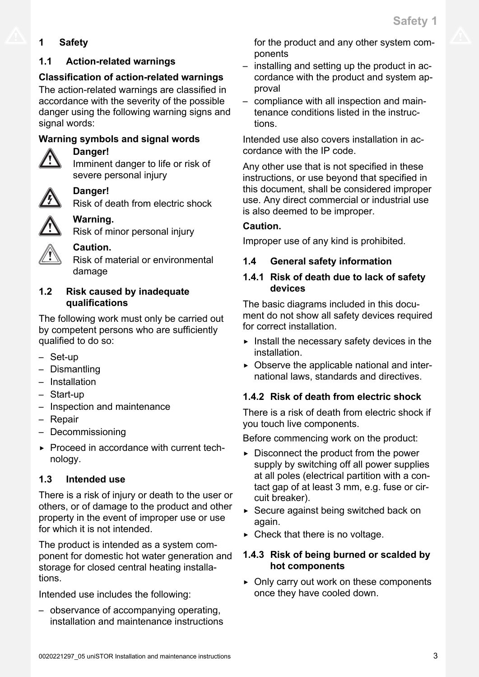# <span id="page-2-0"></span>**1 Safety**

# **1.1 Action-related warnings**

# **Classification of action-related warnings**

The action-related warnings are classified in accordance with the severity of the possible danger using the following warning signs and signal words:

# **Warning symbols and signal words**



# **Danger!**

Imminent danger to life or risk of severe personal injury

# **Danger!**

Risk of death from electric shock

# **Warning.** Risk of minor personal injury

**Caution.**

Risk of material or environmental damage

# **1.2 Risk caused by inadequate qualifications**

The following work must only be carried out by competent persons who are sufficiently qualified to do so:

- Set-up
- Dismantling
- Installation
- Start-up
- Inspection and maintenance
- Repair
- Decommissioning
- ▶ Proceed in accordance with current technology.

# **1.3 Intended use**

There is a risk of injury or death to the user or others, or of damage to the product and other property in the event of improper use or use for which it is not intended.

The product is intended as a system component for domestic hot water generation and storage for closed central heating installations.

Intended use includes the following:

– observance of accompanying operating, installation and maintenance instructions for the product and any other system components

- installing and setting up the product in accordance with the product and system approval
- compliance with all inspection and maintenance conditions listed in the instructions.

Intended use also covers installation in accordance with the IP code.

Any other use that is not specified in these instructions, or use beyond that specified in this document, shall be considered improper use. Any direct commercial or industrial use is also deemed to be improper.

# **Caution.**

Improper use of any kind is prohibited.

# **1.4 General safety information**

# **1.4.1 Risk of death due to lack of safety devices**

The basic diagrams included in this document do not show all safety devices required for correct installation.

- $\blacktriangleright$  Install the necessary safety devices in the installation.
- $\triangleright$  Observe the applicable national and international laws, standards and directives.

# **1.4.2 Risk of death from electric shock**

There is a risk of death from electric shock if you touch live components.

Before commencing work on the product:

- $\triangleright$  Disconnect the product from the power supply by switching off all power supplies at all poles (electrical partition with a contact gap of at least 3 mm, e.g. fuse or circuit breaker).
- ▶ Secure against being switched back on again.
- $\triangleright$  Check that there is no voltage.

# **1.4.3 Risk of being burned or scalded by hot components**

▶ Only carry out work on these components once they have cooled down.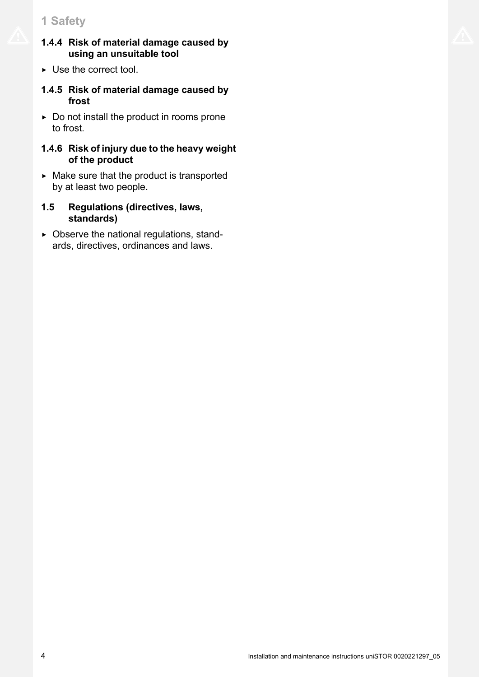# <span id="page-3-0"></span>**1 Safety**

- **1.4.4 Risk of material damage caused by using an unsuitable tool**
- $\triangleright$  Use the correct tool.
- **1.4.5 Risk of material damage caused by frost**
- $\triangleright$  Do not install the product in rooms prone to frost.

### **1.4.6 Risk of injury due to the heavy weight of the product**

- $\triangleright$  Make sure that the product is transported by at least two people.
- **1.5 Regulations (directives, laws, standards)**
- $\triangleright$  Observe the national regulations, standards, directives, ordinances and laws.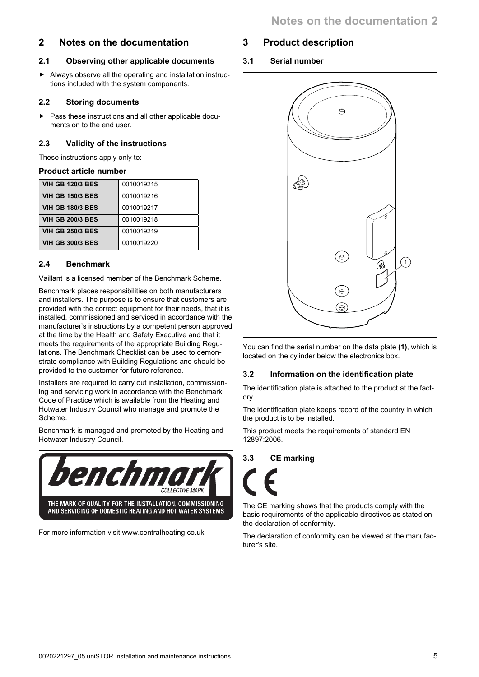# <span id="page-4-0"></span>**2 Notes on the documentation**

## **2.1 Observing other applicable documents**

▶ Always observe all the operating and installation instructions included with the system components.

## **2.2 Storing documents**

▶ Pass these instructions and all other applicable documents on to the end user.

# **2.3 Validity of the instructions**

These instructions apply only to:

### **Product article number**

| <b>VIH GB 120/3 BES</b> | 0010019215 |
|-------------------------|------------|
| <b>VIH GB 150/3 BES</b> | 0010019216 |
| <b>VIH GB 180/3 BES</b> | 0010019217 |
| <b>VIH GB 200/3 BES</b> | 0010019218 |
| <b>VIH GB 250/3 BES</b> | 0010019219 |
| <b>VIH GB 300/3 BES</b> | 0010019220 |

## **2.4 Benchmark**

Vaillant is a licensed member of the Benchmark Scheme.

Benchmark places responsibilities on both manufacturers and installers. The purpose is to ensure that customers are provided with the correct equipment for their needs, that it is installed, commissioned and serviced in accordance with the manufacturer's instructions by a competent person approved at the time by the Health and Safety Executive and that it meets the requirements of the appropriate Building Regulations. The Benchmark Checklist can be used to demonstrate compliance with Building Regulations and should be provided to the customer for future reference.

Installers are required to carry out installation, commissioning and servicing work in accordance with the Benchmark Code of Practice which is available from the Heating and Hotwater Industry Council who manage and promote the Scheme.

Benchmark is managed and promoted by the Heating and Hotwater Industry Council.



For more information visit www.centralheating.co.uk

# **3 Product description**

**3.1 Serial number**



You can find the serial number on the data plate **(1)**, which is located on the cylinder below the electronics box.

# **3.2 Information on the identification plate**

The identification plate is attached to the product at the factory.

The identification plate keeps record of the country in which the product is to be installed.

This product meets the requirements of standard EN 12897:2006.

# **3.3 CE marking**

The CE marking shows that the products comply with the basic requirements of the applicable directives as stated on the declaration of conformity.

The declaration of conformity can be viewed at the manufacturer's site.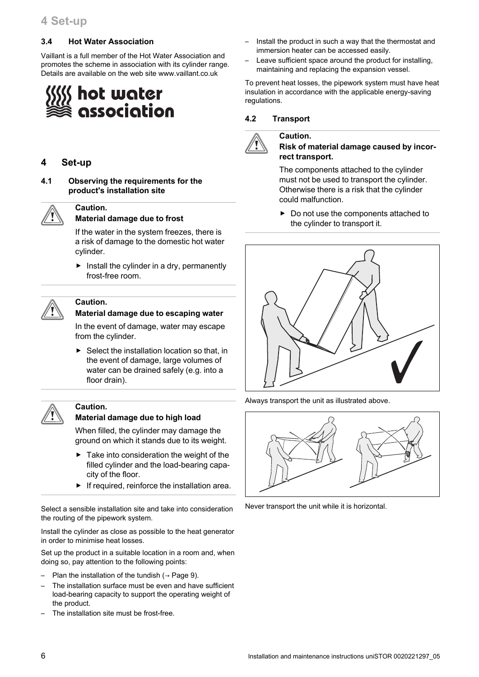#### <span id="page-5-0"></span>**3.4 Hot Water Association**

Vaillant is a full member of the Hot Water Association and promotes the scheme in association with its cylinder range. Details are available on the web site www.vaillant.co.uk

# hot water association

#### **4 Set-up**

**Caution.**

**4.1 Observing the requirements for the product's installation site**



#### **Material damage due to frost**

If the water in the system freezes, there is a risk of damage to the domestic hot water cylinder.

 $\blacktriangleright$  Install the cylinder in a dry, permanently frost-free room.



#### **Caution. Material damage due to escaping water**

In the event of damage, water may escape from the cylinder.

 $\triangleright$  Select the installation location so that, in the event of damage, large volumes of water can be drained safely (e.g. into a floor drain).

#### **Caution.**

#### **Material damage due to high load**

When filled, the cylinder may damage the ground on which it stands due to its weight.

- Take into consideration the weight of the filled cylinder and the load-bearing capacity of the floor.
- $\blacktriangleright$  If required, reinforce the installation area.

Select a sensible installation site and take into consideration the routing of the pipework system.

Install the cylinder as close as possible to the heat generator in order to minimise heat losses.

Set up the product in a suitable location in a room and, when doing so, pay attention to the following points:

- Plan the installation of the tundish ( $\rightarrow$  [Page 9\).](#page-8-0)
- The installation surface must be even and have sufficient load-bearing capacity to support the operating weight of the product.
- The installation site must be frost-free.
- Install the product in such a way that the thermostat and immersion heater can be accessed easily.
- Leave sufficient space around the product for installing, maintaining and replacing the expansion vessel.

To prevent heat losses, the pipework system must have heat insulation in accordance with the applicable energy-saving regulations.

#### **4.2 Transport**

**Caution.**



#### **Risk of material damage caused by incorrect transport.**

The components attached to the cylinder must not be used to transport the cylinder. Otherwise there is a risk that the cylinder could malfunction.

▶ Do not use the components attached to the cylinder to transport it.



Always transport the unit as illustrated above.



Never transport the unit while it is horizontal.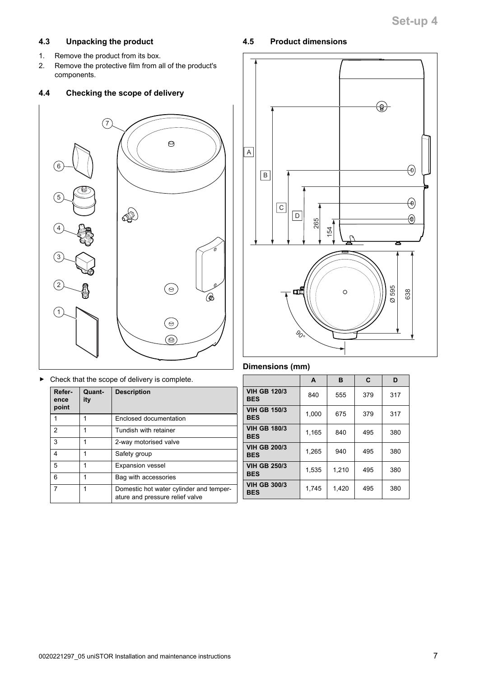#### <span id="page-6-0"></span>**4.3 Unpacking the product**

- 1. Remove the product from its box.
- 2. Remove the protective film from all of the product's components.

#### **4.4 Checking the scope of delivery**



▶ Check that the scope of delivery is complete.

| Refer-<br>ence<br>point | Quant-<br>ity | <b>Description</b>                                                         |
|-------------------------|---------------|----------------------------------------------------------------------------|
|                         |               | Enclosed documentation                                                     |
| 2                       | 1             | Tundish with retainer                                                      |
| 3                       | 1             | 2-way motorised valve                                                      |
| 4                       |               | Safety group                                                               |
| 5                       | 1             | <b>Expansion vessel</b>                                                    |
| 6                       | 1             | Bag with accessories                                                       |
| 7                       | 1             | Domestic hot water cylinder and temper-<br>ature and pressure relief valve |

#### **4.5 Product dimensions**



#### **Dimensions (mm)**

|                                   | A     | в     | C   | D   |
|-----------------------------------|-------|-------|-----|-----|
| <b>VIH GB 120/3</b><br><b>BES</b> | 840   | 555   | 379 | 317 |
| <b>VIH GB 150/3</b><br><b>BES</b> | 1,000 | 675   | 379 | 317 |
| <b>VIH GB 180/3</b><br><b>BES</b> | 1,165 | 840   | 495 | 380 |
| <b>VIH GB 200/3</b><br><b>BES</b> | 1.265 | 940   | 495 | 380 |
| <b>VIH GB 250/3</b><br><b>BES</b> | 1,535 | 1,210 | 495 | 380 |
| <b>VIH GB 300/3</b><br><b>BES</b> | 1,745 | 1,420 | 495 | 380 |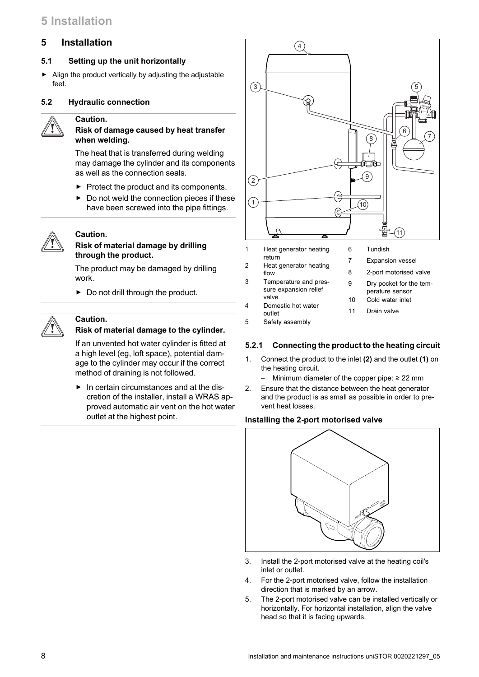# <span id="page-7-0"></span>**5 Installation**

#### **5.1 Setting up the unit horizontally**

▶ Align the product vertically by adjusting the adjustable feet.

#### **5.2 Hydraulic connection**

# **Caution.**

#### **Risk of damage caused by heat transfer when welding.**

The heat that is transferred during welding may damage the cylinder and its components as well as the connection seals.

- $\blacktriangleright$  Protect the product and its components.
- $\triangleright$  Do not weld the connection pieces if these have been screwed into the pipe fittings.

#### **Caution.**

#### **Risk of material damage by drilling through the product.**

The product may be damaged by drilling work.

 $\triangleright$  Do not drill through the product.

#### **Caution. Risk of material damage to the cylinder.**

If an unvented hot water cylinder is fitted at a high level (eg, loft space), potential damage to the cylinder may occur if the correct method of draining is not followed.

▶ In certain circumstances and at the discretion of the installer, install a WRAS approved automatic air vent on the hot water outlet at the highest point.



1 Heat generator heating return 2 Heat generator heating flow

3 Temperature and pressure expansion relief

- 8 2-port motorised valve
	- 9 Dry pocket for the temperature sensor
	- 10 Cold water inlet

7 Expansion vessel

- 11 Drain valve
- outlet 5 Safety assembly

valve 4 Domestic hot water

#### **5.2.1 Connecting the product to the heating circuit**

- 1. Connect the product to the inlet **(2)** and the outlet **(1)** on the heating circuit.
	- Minimum diameter of the copper pipe:  $\geq$  22 mm
- 2. Ensure that the distance between the heat generator and the product is as small as possible in order to prevent heat losses.

#### **Installing the 2-port motorised valve**



- 3. Install the 2-port motorised valve at the heating coil's inlet or outlet.
- 4. For the 2-port motorised valve, follow the installation direction that is marked by an arrow.
- 5. The 2-port motorised valve can be installed vertically or horizontally. For horizontal installation, align the valve head so that it is facing upwards.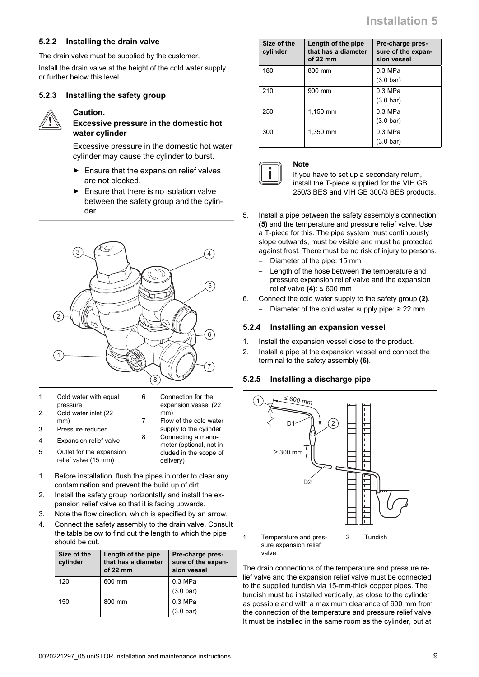#### <span id="page-8-0"></span>**5.2.2 Installing the drain valve**

The drain valve must be supplied by the customer.

Install the drain valve at the height of the cold water supply or further below this level.

## **5.2.3 Installing the safety group**



# **Caution.**

#### **Excessive pressure in the domestic hot water cylinder**

Excessive pressure in the domestic hot water cylinder may cause the cylinder to burst.

- $\blacktriangleright$  Ensure that the expansion relief valves are not blocked.
- $\blacktriangleright$  Ensure that there is no isolation valve between the safety group and the cylinder.



- 1 Cold water with equal pressure 2 Cold water inlet (22 mm) 3 Pressure reducer 6 Connection for the expansion vessel (22 mm) 7 Flow of the cold water
- 4 Expansion relief valve

5 Outlet for the expansion relief valve (15 mm)

supply to the cylinder 8 Connecting a manometer (optional, not included in the scope of delivery)

- 1. Before installation, flush the pipes in order to clear any contamination and prevent the build up of dirt.
- 2. Install the safety group horizontally and install the expansion relief valve so that it is facing upwards.
- 3. Note the flow direction, which is specified by an arrow.
- 4. Connect the safety assembly to the drain valve. Consult the table below to find out the length to which the pipe should be cut.

| Size of the<br>cylinder | Length of the pipe<br>that has a diameter<br>of $22 \, \text{mm}$ | Pre-charge pres-<br>sure of the expan-<br>sion vessel |
|-------------------------|-------------------------------------------------------------------|-------------------------------------------------------|
| 120                     | 600 mm                                                            | $0.3$ MPa                                             |
|                         |                                                                   | $(3.0 \text{ bar})$                                   |
| 150                     | 800 mm                                                            | $0.3$ MPa                                             |
|                         |                                                                   | $(3.0 \text{ bar})$                                   |

| Size of the<br>cylinder | Length of the pipe<br>that has a diameter<br>of $22 \, \text{mm}$ | Pre-charge pres-<br>sure of the expan-<br>sion vessel |
|-------------------------|-------------------------------------------------------------------|-------------------------------------------------------|
| 180                     | 800 mm                                                            | $0.3$ MPa                                             |
|                         |                                                                   | $(3.0 \text{ bar})$                                   |
| 210                     | 900 mm                                                            | $0.3$ MPa                                             |
|                         |                                                                   | $(3.0 \text{ bar})$                                   |
| 250                     | 1,150 mm                                                          | $0.3$ MPa                                             |
|                         |                                                                   | $(3.0 \text{ bar})$                                   |
| 300                     | 1.350 mm                                                          | $0.3$ MPa                                             |
|                         |                                                                   | $(3.0 \text{ bar})$                                   |

**Note**

If you have to set up a secondary return, install the T-piece supplied for the VIH GB 250/3 BES and VIH GB 300/3 BES products.

- 5. Install a pipe between the safety assembly's connection **(5)** and the temperature and pressure relief valve. Use a T-piece for this. The pipe system must continuously slope outwards, must be visible and must be protected against frost. There must be no risk of injury to persons.
	- Diameter of the pipe: 15 mm
	- Length of the hose between the temperature and pressure expansion relief valve and the expansion relief valve **(4)**: ≤ 600 mm
- 6. Connect the cold water supply to the safety group **(2)**. – Diameter of the cold water supply pipe: ≥ 22 mm

#### **5.2.4 Installing an expansion vessel**

- 1. Install the expansion vessel close to the product.
- 2. Install a pipe at the expansion vessel and connect the terminal to the safety assembly **(6)**.

#### **5.2.5 Installing a discharge pipe**



Temperature and pressure expansion relief valve 2 Tundish

The drain connections of the temperature and pressure relief valve and the expansion relief valve must be connected to the supplied tundish via 15-mm-thick copper pipes. The tundish must be installed vertically, as close to the cylinder as possible and with a maximum clearance of 600 mm from the connection of the temperature and pressure relief valve. It must be installed in the same room as the cylinder, but at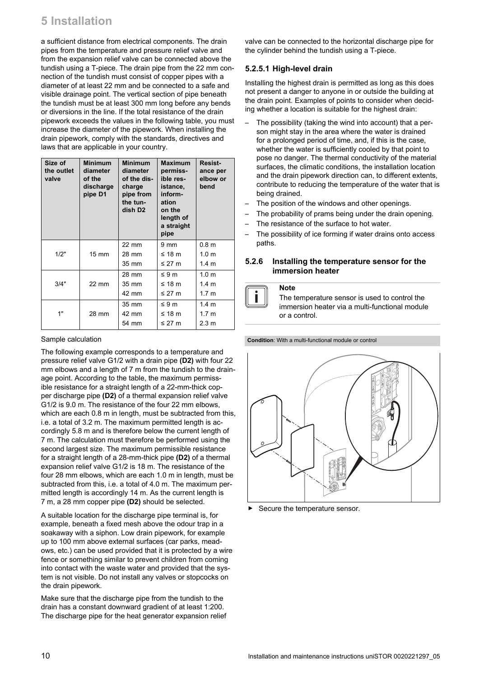a sufficient distance from electrical components. The drain pipes from the temperature and pressure relief valve and from the expansion relief valve can be connected above the tundish using a T-piece. The drain pipe from the 22 mm connection of the tundish must consist of copper pipes with a diameter of at least 22 mm and be connected to a safe and visible drainage point. The vertical section of pipe beneath the tundish must be at least 300 mm long before any bends or diversions in the line. If the total resistance of the drain pipework exceeds the values in the following table, you must increase the diameter of the pipework. When installing the drain pipework, comply with the standards, directives and laws that are applicable in your country.

| Size of<br>the outlet<br>valve | <b>Minimum</b><br>diameter<br>of the<br>discharge<br>pipe D1 | <b>Minimum</b><br>diameter<br>of the dis-<br>charge<br>pipe from<br>the tun-<br>dish D <sub>2</sub> | <b>Maximum</b><br>permiss-<br>ible res-<br>istance.<br>inform-<br>ation<br>on the<br>length of<br>a straight<br>pipe | Resist-<br>ance per<br>elbow or<br>bend |
|--------------------------------|--------------------------------------------------------------|-----------------------------------------------------------------------------------------------------|----------------------------------------------------------------------------------------------------------------------|-----------------------------------------|
| 1/2"                           | $15 \text{ mm}$                                              | $22 \text{ mm}$<br>28 mm                                                                            | 9 mm<br>≤ 18 $m$                                                                                                     | 0.8 <sub>m</sub><br>1.0 <sub>m</sub>    |
|                                |                                                              | 35 mm                                                                                               | ≤ 27 $m$                                                                                                             | 1.4 <sub>m</sub>                        |
|                                |                                                              | 28 mm                                                                                               | $\leq 9 \text{ m}$                                                                                                   | 1.0 <sub>m</sub>                        |
| 3/4"                           | $22 \text{ mm}$                                              | 35 mm                                                                                               | ≤ 18 m                                                                                                               | $1.4 \text{ m}$                         |
|                                |                                                              | 42 mm                                                                                               | ≤ 27 m                                                                                                               | 1.7 <sub>m</sub>                        |
|                                |                                                              | 35 mm                                                                                               | $\leq 9 \text{ m}$                                                                                                   | 1.4 <sub>m</sub>                        |
| 1"                             | 28 mm                                                        | 42 mm                                                                                               | ≤ 18 $m$                                                                                                             | 1.7 <sub>m</sub>                        |
|                                |                                                              | 54 mm                                                                                               | ≤ 27 $m$                                                                                                             | $2.3 \text{ m}$                         |

#### Sample calculation

The following example corresponds to a temperature and pressure relief valve G1/2 with a drain pipe **(D2)** with four 22 mm elbows and a length of 7 m from the tundish to the drainage point. According to the table, the maximum permissible resistance for a straight length of a 22-mm-thick copper discharge pipe **(D2)** of a thermal expansion relief valve G1/2 is 9.0 m. The resistance of the four 22 mm elbows, which are each 0.8 m in length, must be subtracted from this, i.e. a total of 3.2 m. The maximum permitted length is accordingly 5.8 m and is therefore below the current length of 7 m. The calculation must therefore be performed using the second largest size. The maximum permissible resistance for a straight length of a 28-mm-thick pipe **(D2)** of a thermal expansion relief valve G1/2 is 18 m. The resistance of the four 28 mm elbows, which are each 1.0 m in length, must be subtracted from this, i.e. a total of 4.0 m. The maximum permitted length is accordingly 14 m. As the current length is 7 m, a 28 mm copper pipe **(D2)** should be selected.

A suitable location for the discharge pipe terminal is, for example, beneath a fixed mesh above the odour trap in a soakaway with a siphon. Low drain pipework, for example up to 100 mm above external surfaces (car parks, meadows, etc.) can be used provided that it is protected by a wire fence or something similar to prevent children from coming into contact with the waste water and provided that the system is not visible. Do not install any valves or stopcocks on the drain pipework.

Make sure that the discharge pipe from the tundish to the drain has a constant downward gradient of at least 1:200. The discharge pipe for the heat generator expansion relief valve can be connected to the horizontal discharge pipe for the cylinder behind the tundish using a T-piece.

#### **5.2.5.1 High-level drain**

Installing the highest drain is permitted as long as this does not present a danger to anyone in or outside the building at the drain point. Examples of points to consider when deciding whether a location is suitable for the highest drain:

- The possibility (taking the wind into account) that a person might stay in the area where the water is drained for a prolonged period of time, and, if this is the case, whether the water is sufficiently cooled by that point to pose no danger. The thermal conductivity of the material surfaces, the climatic conditions, the installation location and the drain pipework direction can, to different extents, contribute to reducing the temperature of the water that is being drained.
- The position of the windows and other openings.
- The probability of prams being under the drain opening.
- The resistance of the surface to hot water.
- The possibility of ice forming if water drains onto access paths.

#### **5.2.6 Installing the temperature sensor for the immersion heater**



**Note**

The temperature sensor is used to control the immersion heater via a multi-functional module or a control.

**Condition**: With a multi-functional module or control



Secure the temperature sensor.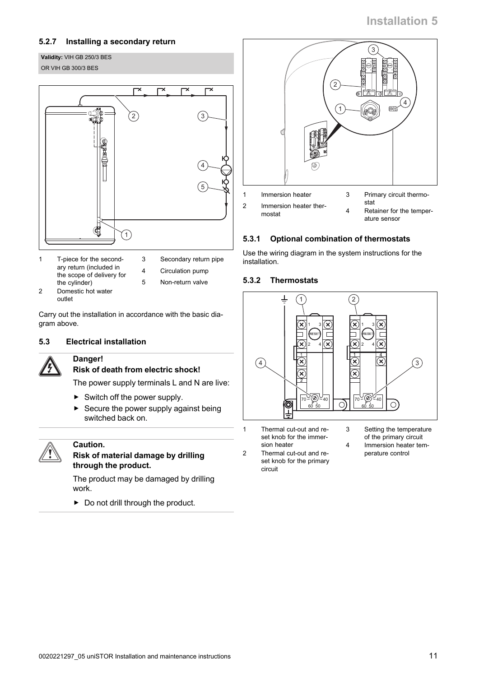## <span id="page-10-0"></span>**5.2.7 Installing a secondary return**

#### **Validity:** VIH GB 250/3 BES OR VIH GB 300/3 BES



- 1 T-piece for the secondary return (included in the scope of delivery for the cylinder)
- 3 Secondary return pipe
- 4 Circulation pump
- 2 Domestic hot water outlet
- 5 Non-return valve

Carry out the installation in accordance with the basic diagram above.

#### **5.3 Electrical installation**



# **Danger!**

# **Risk of death from electric shock!**

The power supply terminals L and N are live:

- $\blacktriangleright$  Switch off the power supply.
- $\triangleright$  Secure the power supply against being switched back on.



# **Caution.**

#### **Risk of material damage by drilling through the product.**

The product may be damaged by drilling work.

 $\blacktriangleright$  Do not drill through the product.



# **5.3.1 Optional combination of thermostats**

Use the wiring diagram in the system instructions for the installation.

# **5.3.2 Thermostats**



- 1 Thermal cut-out and reset knob for the immersion heater
- 2 Thermal cut-out and reset knob for the primary circuit
- 3 Setting the temperature of the primary circuit
- 4 Immersion heater temperature control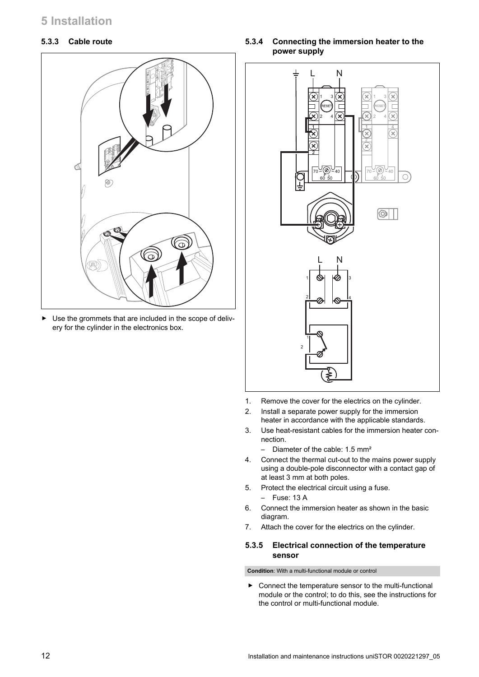#### **5.3.3 Cable route**



▶ Use the grommets that are included in the scope of delivery for the cylinder in the electronics box.

**5.3.4 Connecting the immersion heater to the power supply**



- 1. Remove the cover for the electrics on the cylinder.
- 2. Install a separate power supply for the immersion heater in accordance with the applicable standards.
- 3. Use heat-resistant cables for the immersion heater connection.
	- Diameter of the cable: 1.5 mm²
- 4. Connect the thermal cut-out to the mains power supply using a double-pole disconnector with a contact gap of at least 3 mm at both poles.
- 5. Protect the electrical circuit using a fuse.
	- Fuse: 13 A
- 6. Connect the immersion heater as shown in the basic diagram.
- 7. Attach the cover for the electrics on the cylinder.

#### **5.3.5 Electrical connection of the temperature sensor**

**Condition**: With a multi-functional module or control

▶ Connect the temperature sensor to the multi-functional module or the control; to do this, see the instructions for the control or multi-functional module.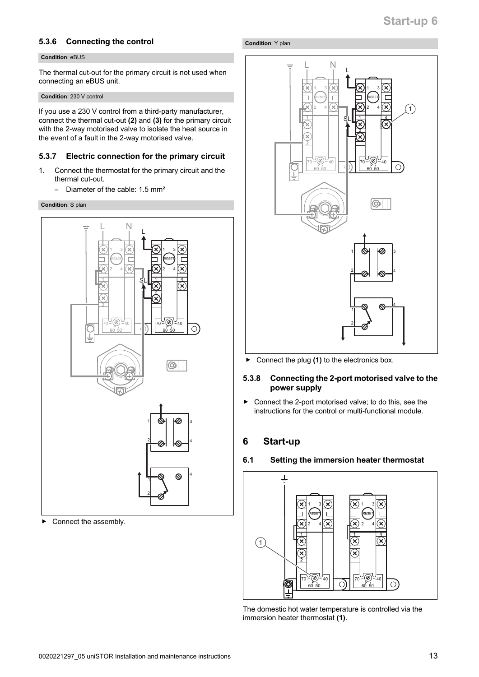#### <span id="page-12-0"></span>**5.3.6 Connecting the control**

#### **Condition**: eBUS

The thermal cut-out for the primary circuit is not used when connecting an eBUS unit.

**Condition**: 230 V control

If you use a 230 V control from a third-party manufacturer, connect the thermal cut-out **(2)** and **(3)** for the primary circuit with the 2-way motorised valve to isolate the heat source in the event of a fault in the 2-way motorised valve.

#### **5.3.7 Electric connection for the primary circuit**

- 1. Connect the thermostat for the primary circuit and the thermal cut-out.
	- Diameter of the cable: 1.5 mm²

#### **Condition**: S plan



Connect the assembly.

#### **Condition**: Y plan



▶ Connect the plug **(1)** to the electronics box.

#### **5.3.8 Connecting the 2-port motorised valve to the power supply**

▶ Connect the 2-port motorised valve; to do this, see the instructions for the control or multi-functional module.

### **6 Start-up**

#### **6.1 Setting the immersion heater thermostat**



The domestic hot water temperature is controlled via the immersion heater thermostat **(1)**.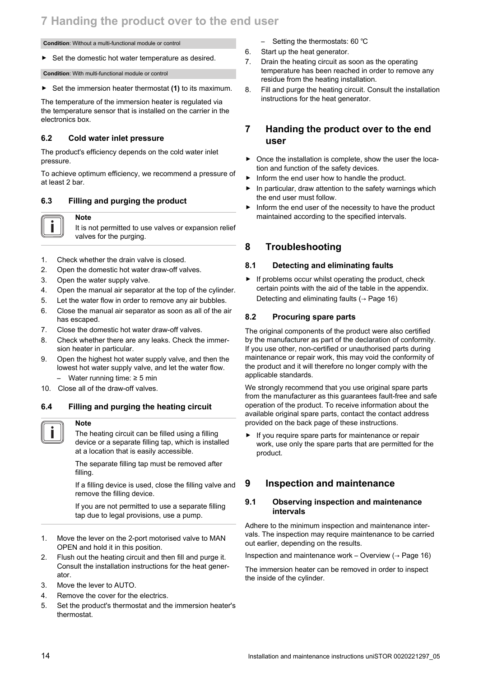# <span id="page-13-0"></span>**7 Handing the product over to the end user**

#### **Condition**: Without a multi-functional module or control

▶ Set the domestic hot water temperature as desired.

**Condition**: With multi-functional module or control

▶ Set the immersion heater thermostat **(1)** to its maximum.

The temperature of the immersion heater is regulated via the temperature sensor that is installed on the carrier in the electronics box.

#### **6.2 Cold water inlet pressure**

The product's efficiency depends on the cold water inlet pressure.

To achieve optimum efficiency, we recommend a pressure of at least 2 bar.

#### **6.3 Filling and purging the product**



It is not permitted to use valves or expansion relief valves for the purging.

- 1. Check whether the drain valve is closed.
- 2. Open the domestic hot water draw-off valves.
- 3. Open the water supply valve.

**Note**

- 4. Open the manual air separator at the top of the cylinder.
- 5. Let the water flow in order to remove any air bubbles.
- 6. Close the manual air separator as soon as all of the air has escaped.
- 7. Close the domestic hot water draw-off valves.
- 8. Check whether there are any leaks. Check the immersion heater in particular.
- 9. Open the highest hot water supply valve, and then the lowest hot water supply valve, and let the water flow.
	- Water running time:  $≥ 5$  min
- 10. Close all of the draw-off valves.

#### **6.4 Filling and purging the heating circuit**



#### **Note**

The heating circuit can be filled using a filling device or a separate filling tap, which is installed at a location that is easily accessible.

The separate filling tap must be removed after filling.

If a filling device is used, close the filling valve and remove the filling device.

If you are not permitted to use a separate filling tap due to legal provisions, use a pump.

- 1. Move the lever on the 2-port motorised valve to MAN OPEN and hold it in this position.
- 2. Flush out the heating circuit and then fill and purge it. Consult the installation instructions for the heat generator.
- 3. Move the lever to AUTO.
- 4. Remove the cover for the electrics.
- 5. Set the product's thermostat and the immersion heater's thermostat.
- Setting the thermostats: 60 ℃
- 6. Start up the heat generator.
- 7. Drain the heating circuit as soon as the operating temperature has been reached in order to remove any residue from the heating installation.
- 8. Fill and purge the heating circuit. Consult the installation instructions for the heat generator.

#### **7 Handing the product over to the end user**

- ▶ Once the installation is complete, show the user the location and function of the safety devices.
- Inform the end user how to handle the product.
- $\blacktriangleright$  In particular, draw attention to the safety warnings which the end user must follow.
- $\blacktriangleright$  Inform the end user of the necessity to have the product maintained according to the specified intervals.

#### **8 Troubleshooting**

#### **8.1 Detecting and eliminating faults**

 $\blacktriangleright$  If problems occur whilst operating the product, check certain points with the aid of the table in the appendix. Detecting and eliminating faults (→ [Page 16\)](#page-15-0)

#### **8.2 Procuring spare parts**

The original components of the product were also certified by the manufacturer as part of the declaration of conformity. If you use other, non-certified or unauthorised parts during maintenance or repair work, this may void the conformity of the product and it will therefore no longer comply with the applicable standards.

We strongly recommend that you use original spare parts from the manufacturer as this guarantees fault-free and safe operation of the product. To receive information about the available original spare parts, contact the contact address provided on the back page of these instructions.

▶ If you require spare parts for maintenance or repair work, use only the spare parts that are permitted for the product.

#### **9 Inspection and maintenance**

#### **9.1 Observing inspection and maintenance intervals**

Adhere to the minimum inspection and maintenance intervals. The inspection may require maintenance to be carried out earlier, depending on the results.

Inspection and maintenance work – Overview  $($   $\rightarrow$  [Page 16\)](#page-15-0)

The immersion heater can be removed in order to inspect the inside of the cylinder.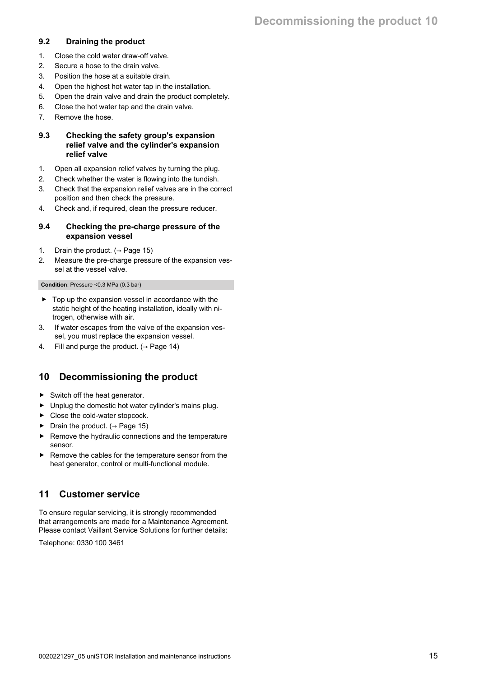#### <span id="page-14-0"></span>**9.2 Draining the product**

- 1. Close the cold water draw-off valve.
- 2. Secure a hose to the drain valve.
- 3. Position the hose at a suitable drain.
- 4. Open the highest hot water tap in the installation.
- 5. Open the drain valve and drain the product completely.
- 6. Close the hot water tap and the drain valve.
- 7. Remove the hose.

#### **9.3 Checking the safety group's expansion relief valve and the cylinder's expansion relief valve**

- 1. Open all expansion relief valves by turning the plug.
- 2. Check whether the water is flowing into the tundish.
- 3. Check that the expansion relief valves are in the correct position and then check the pressure.
- 4. Check and, if required, clean the pressure reducer.

#### **9.4 Checking the pre-charge pressure of the expansion vessel**

- 1. Drain the product.  $(→ Page 15)$
- 2. Measure the pre-charge pressure of the expansion vessel at the vessel valve.

#### **Condition**: Pressure <0.3 MPa (0.3 bar)

- ▶ Top up the expansion vessel in accordance with the static height of the heating installation, ideally with nitrogen, otherwise with air.
- 3. If water escapes from the valve of the expansion vessel, you must replace the expansion vessel.
- 4. Fill and purge the product.  $( \rightarrow$  [Page 14\)](#page-13-0)

# **10 Decommissioning the product**

- $\blacktriangleright$  Switch off the heat generator.
- ▶ Unplug the domestic hot water cylinder's mains plug.
- ▶ Close the cold-water stopcock.
- ▶ Drain the product.  $(→$  Page 15)
- ▶ Remove the hydraulic connections and the temperature sensor.
- ▶ Remove the cables for the temperature sensor from the heat generator, control or multi-functional module.

# **11 Customer service**

To ensure regular servicing, it is strongly recommended that arrangements are made for a Maintenance Agreement. Please contact Vaillant Service Solutions for further details:

Telephone: 0330 100 3461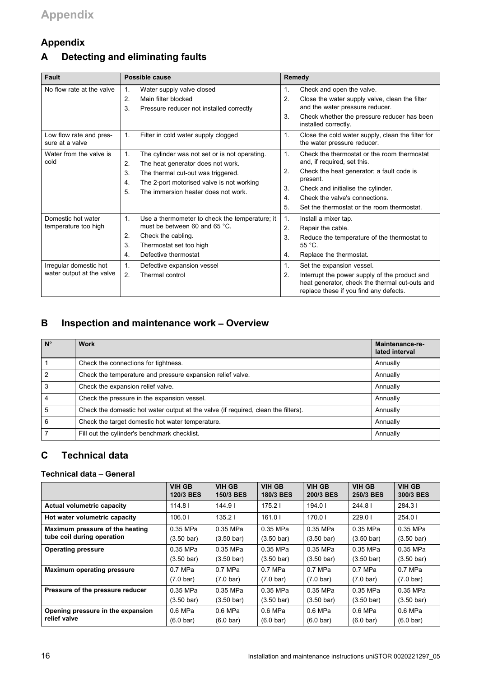# <span id="page-15-0"></span>**Appendix**

# **A Detecting and eliminating faults**

| <b>Fault</b>                               |                            | Possible cause                                                                                                         | Remedy         |                                                                                                                                           |  |
|--------------------------------------------|----------------------------|------------------------------------------------------------------------------------------------------------------------|----------------|-------------------------------------------------------------------------------------------------------------------------------------------|--|
| No flow rate at the valve                  | 1 <sub>1</sub><br>2.<br>3. | Water supply valve closed<br>Main filter blocked<br>Pressure reducer not installed correctly                           | 1.<br>2.       | Check and open the valve.<br>Close the water supply valve, clean the filter<br>and the water pressure reducer.                            |  |
|                                            |                            |                                                                                                                        | 3.             | Check whether the pressure reducer has been<br>installed correctly.                                                                       |  |
| Low flow rate and pres-<br>sure at a valve | $\mathbf{1}$ .             | Filter in cold water supply clogged                                                                                    | 1.             | Close the cold water supply, clean the filter for<br>the water pressure reducer.                                                          |  |
| Water from the valve is<br>cold            | 1.<br>2.                   | The cylinder was not set or is not operating.<br>The heat generator does not work.                                     | $\mathbf{1}$   | Check the thermostat or the room thermostat<br>and, if required, set this.                                                                |  |
|                                            | 3.<br>4.<br>5.             | The thermal cut-out was triggered.<br>The 2-port motorised valve is not working<br>The immersion heater does not work. | 2.             | Check the heat generator; a fault code is<br>present.                                                                                     |  |
|                                            |                            |                                                                                                                        | 3.             | Check and initialise the cylinder.                                                                                                        |  |
|                                            |                            |                                                                                                                        | 4.             | Check the valve's connections.                                                                                                            |  |
|                                            |                            |                                                                                                                        | 5.             | Set the thermostat or the room thermostat.                                                                                                |  |
| Domestic hot water                         | $\mathbf{1}$ .             | Use a thermometer to check the temperature; it                                                                         | 1.             | Install a mixer tap.                                                                                                                      |  |
| temperature too high                       |                            | must be between 60 and 65 °C.                                                                                          | 2.             | Repair the cable.                                                                                                                         |  |
|                                            | 2.                         | Check the cabling.                                                                                                     | 3.             | Reduce the temperature of the thermostat to                                                                                               |  |
|                                            | 3.                         | Thermostat set too high                                                                                                |                | $55^{\circ}$ C.                                                                                                                           |  |
|                                            | 4.                         | Defective thermostat                                                                                                   | 4.             | Replace the thermostat.                                                                                                                   |  |
| Irregular domestic hot                     | 1.                         | Defective expansion vessel                                                                                             | $\mathbf{1}$ . | Set the expansion vessel.                                                                                                                 |  |
| water output at the valve                  | 2.                         | Thermal control                                                                                                        | 2.             | Interrupt the power supply of the product and<br>heat generator, check the thermal cut-outs and<br>replace these if you find any defects. |  |

# **B Inspection and maintenance work** – **Overview**

| $N^{\circ}$ | <b>Work</b>                                                                        | Maintenance-re-<br>lated interval |
|-------------|------------------------------------------------------------------------------------|-----------------------------------|
|             | Check the connections for tightness.                                               | Annually                          |
| 2           | Check the temperature and pressure expansion relief valve.                         | Annually                          |
| 3           | Check the expansion relief valve.                                                  | Annually                          |
|             | Check the pressure in the expansion vessel.                                        | Annually                          |
| 5           | Check the domestic hot water output at the valve (if required, clean the filters). | Annually                          |
| 6           | Check the target domestic hot water temperature.                                   | Annually                          |
|             | Fill out the cylinder's benchmark checklist.                                       | Annually                          |

# **C Technical data**

#### **Technical data** – **General**

|                                   | <b>VIH GB</b><br>120/3 BES | <b>VIH GB</b><br>150/3 BES | <b>VIH GB</b><br>180/3 BES | <b>VIH GB</b><br>200/3 BES | <b>VIH GB</b><br>250/3 BES | <b>VIH GB</b><br>300/3 BES |
|-----------------------------------|----------------------------|----------------------------|----------------------------|----------------------------|----------------------------|----------------------------|
| <b>Actual volumetric capacity</b> | 114.8                      | 144.9 <sup>1</sup>         | 175.21                     | 194.01                     | 244.81                     | 284.31                     |
| Hot water volumetric capacity     | 106.01                     | 135.21                     | 161.01                     | 170.01                     | 229.01                     | 254.0                      |
| Maximum pressure of the heating   | 0.35 MPa                   | 0.35 MPa                   | 0.35 MPa                   | 0.35 MPa                   | 0.35 MPa                   | 0.35 MPa                   |
| tube coil during operation        | $(3.50 \text{ bar})$       | $(3.50 \text{ bar})$       | $(3.50 \text{ bar})$       | $(3.50 \text{ bar})$       | $(3.50 \text{ bar})$       | $(3.50 \text{ bar})$       |
| <b>Operating pressure</b>         | 0.35 MPa                   | 0.35 MPa                   | 0.35 MPa                   | 0.35 MPa                   | 0.35 MPa                   | 0.35 MPa                   |
|                                   | $(3.50 \text{ bar})$       | $(3.50 \text{ bar})$       | $(3.50 \text{ bar})$       | $(3.50 \text{ bar})$       | $(3.50 \text{ bar})$       | $(3.50 \text{ bar})$       |
| <b>Maximum operating pressure</b> | $0.7$ MPa                  | $0.7$ MPa                  | $0.7$ MPa                  | $0.7$ MPa                  | $0.7$ MPa                  | $0.7$ MPa                  |
|                                   | $(7.0 \text{ bar})$        | $(7.0 \text{ bar})$        | $(7.0 \text{ bar})$        | $(7.0 \text{ bar})$        | $(7.0 \text{ bar})$        | $(7.0 \text{ bar})$        |
| Pressure of the pressure reducer  | 0.35 MPa                   | 0.35 MPa                   | 0.35 MPa                   | 0.35 MPa                   | 0.35 MPa                   | 0.35 MPa                   |
|                                   | $(3.50 \text{ bar})$       | $(3.50 \text{ bar})$       | $(3.50 \text{ bar})$       | $(3.50 \text{ bar})$       | $(3.50 \text{ bar})$       | $(3.50 \text{ bar})$       |
| Opening pressure in the expansion | 0.6 MPa                    | 0.6 MPa                    | $0.6$ MPa                  | 0.6 MPa                    | $0.6$ MPa                  | 0.6 MPa                    |
| relief valve                      | $(6.0 \text{ bar})$        | $(6.0 \text{ bar})$        | $(6.0 \text{ bar})$        | $(6.0 \text{ bar})$        | $(6.0 \text{ bar})$        | $(6.0 \text{ bar})$        |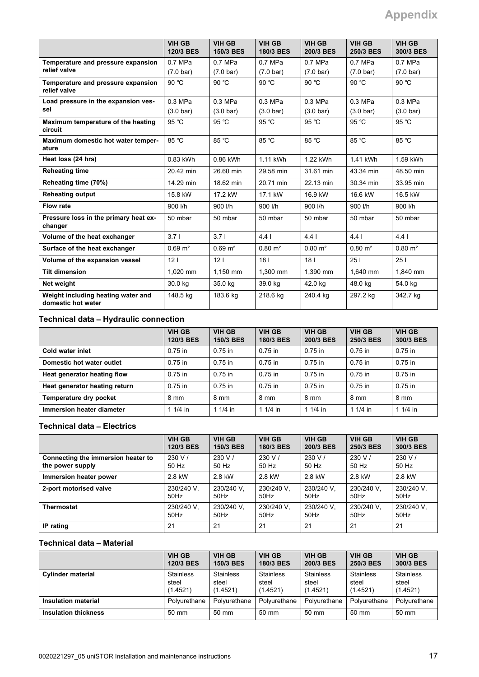|                                                          | <b>VIH GB</b><br>120/3 BES | <b>VIH GB</b><br>150/3 BES | <b>VIH GB</b><br>180/3 BES | <b>VIH GB</b><br>200/3 BES | <b>VIH GB</b><br>250/3 BES | <b>VIH GB</b><br>300/3 BES |
|----------------------------------------------------------|----------------------------|----------------------------|----------------------------|----------------------------|----------------------------|----------------------------|
| Temperature and pressure expansion                       | $0.7$ MPa                  | $0.7$ MPa                  | $0.7$ MPa                  | $0.7$ MPa                  | $0.7$ MPa                  | $0.7$ MPa                  |
| relief valve                                             | $(7.0 \text{ bar})$        | $(7.0 \text{ bar})$        | $(7.0 \text{ bar})$        | $(7.0 \text{ bar})$        | $(7.0 \text{ bar})$        | $(7.0 \text{ bar})$        |
| Temperature and pressure expansion<br>relief valve       | 90 °C                      | 90 °C                      | 90 °C                      | 90 °C                      | 90 °C                      | 90 °C                      |
| Load pressure in the expansion ves-                      | $0.3$ MPa                  | $0.3$ MPa                  | $0.3$ MPa                  | $0.3$ MPa                  | $0.3$ MPa                  | $0.3$ MPa                  |
| sel                                                      | $(3.0 \text{ bar})$        | $(3.0 \text{ bar})$        | $(3.0 \text{ bar})$        | $(3.0 \text{ bar})$        | $(3.0 \text{ bar})$        | $(3.0 \text{ bar})$        |
| Maximum temperature of the heating<br>circuit            | 95 °C                      | 95 °C                      | 95 °C                      | 95 °C                      | 95 °C                      | 95 °C                      |
| Maximum domestic hot water temper-<br>ature              | 85 °C                      | 85 °C                      | 85 °C                      | 85 °C                      | $85^{\circ}$ C             | 85 °C                      |
| Heat loss (24 hrs)                                       | 0.83 kWh                   | 0.86 kWh                   | 1.11 kWh                   | 1.22 kWh                   | 1.41 kWh                   | 1.59 kWh                   |
| <b>Reheating time</b>                                    | 20.42 min                  | 26.60 min                  | 29.58 min                  | 31.61 min                  | 43.34 min                  | 48.50 min                  |
| Reheating time (70%)                                     | 14.29 min                  | 18.62 min                  | 20.71 min                  | 22.13 min                  | 30.34 min                  | 33.95 min                  |
| <b>Reheating output</b>                                  | 15.8 kW                    | 17.2 kW                    | 17.1 kW                    | 16.9 kW                    | 16.6 kW                    | 16.5 kW                    |
| Flow rate                                                | 900 l/h                    | 900 l/h                    | 900 l/h                    | 900 l/h                    | 900 l/h                    | 900 l/h                    |
| Pressure loss in the primary heat ex-<br>changer         | 50 mbar                    | 50 mbar                    | 50 mbar                    | 50 mbar                    | 50 mbar                    | 50 mbar                    |
| Volume of the heat exchanger                             | 3.71                       | 3.71                       | 4.4                        | 441                        | 4.4 <sub>1</sub>           | 441                        |
| Surface of the heat exchanger                            | $0.69 \text{ m}^2$         | $0.69 \text{ m}^2$         | $0.80 \text{ m}^2$         | $0.80 \; \text{m}^2$       | $0.80 \text{ m}^2$         | $0.80 \text{ m}^2$         |
| Volume of the expansion vessel                           | 12 <sub>1</sub>            | 12 <sub>1</sub>            | 181                        | 18 <sub>1</sub>            | 251                        | 251                        |
| <b>Tilt dimension</b>                                    | 1.020 mm                   | $1.150$ mm                 | 1.300 mm                   | 1.390 mm                   | 1.640 mm                   | 1.840 mm                   |
| Net weight                                               | 30.0 kg                    | 35.0 kg                    | 39.0 kg                    | 42.0 kg                    | 48.0 kg                    | 54.0 kg                    |
| Weight including heating water and<br>domestic hot water | 148.5 kg                   | 183.6 kg                   | 218.6 kg                   | 240.4 kg                   | 297.2 kg                   | 342.7 kg                   |

## **Technical data** – **Hydraulic connection**

|                               | VIH GB<br>120/3 BES | <b>VIH GB</b><br><b>150/3 BES</b> | <b>VIH GB</b><br>180/3 BES | <b>VIH GB</b><br>200/3 BES | <b>VIH GB</b><br>250/3 BES | <b>VIH GB</b><br>300/3 BES |
|-------------------------------|---------------------|-----------------------------------|----------------------------|----------------------------|----------------------------|----------------------------|
| Cold water inlet              | $0.75$ in           | $0.75$ in                         | $0.75$ in                  | 0.75 in                    | $0.75$ in                  | $0.75$ in                  |
| Domestic hot water outlet     | $0.75$ in           | $0.75$ in                         | $0.75$ in                  | $0.75$ in                  | $0.75$ in                  | $0.75$ in                  |
| Heat generator heating flow   | $0.75$ in           | $0.75$ in                         | $0.75$ in                  | $0.75$ in                  | $0.75$ in                  | $0.75$ in                  |
| Heat generator heating return | $0.75$ in           | $0.75$ in                         | $0.75$ in                  | $0.75$ in                  | $0.75$ in                  | $0.75$ in                  |
| Temperature dry pocket        | 8 mm                | 8 mm                              | 8 mm                       | 8 mm                       | 8 mm                       | 8 mm                       |
| Immersion heater diameter     | 1 $1/4$ in          | 1 $1/4$ in                        | 1 1/4 in                   | 1 $1/4$ in                 | 1 $1/4$ in                 | 1 1/4 in                   |

#### **Technical data** – **Electrics**

|                                    | VIH GB     | <b>VIH GB</b> | <b>VIH GB</b> | <b>VIH GB</b> | <b>VIH GB</b> | <b>VIH GB</b> |
|------------------------------------|------------|---------------|---------------|---------------|---------------|---------------|
|                                    | 120/3 BES  | 150/3 BES     | 180/3 BES     | 200/3 BES     | 250/3 BES     | 300/3 BES     |
| Connecting the immersion heater to | 230 V /    | 230 V/        | 230 V/        | 230 V/        | 230 V/        | 230 V/        |
| the power supply                   | 50 Hz      | 50 Hz         | 50 Hz         | 50 Hz         | 50 Hz         | 50 Hz         |
| Immersion heater power             | 2.8 kW     | 2.8 kW        | 2.8 kW        | 2.8 kW        | 2.8 kW        | 2.8 kW        |
| 2-port motorised valve             | 230/240 V. | 230/240 V.    | 230/240 V.    | 230/240 V.    | 230/240 V.    | 230/240 V.    |
|                                    | 50Hz       | $50$ Hz       | 50Hz          | 50Hz          | 50Hz          | $50$ Hz       |
| <b>Thermostat</b>                  | 230/240 V. | 230/240 V.    | 230/240 V.    | 230/240 V.    | 230/240 V.    | 230/240 V.    |
|                                    | 50Hz       | $50$ Hz       | 50Hz          | 50Hz          | 50Hz          | $50$ Hz       |
| IP rating                          | 21         | 21            | 21            | 21            | 21            | 21            |

### **Technical data** – **Material**

|                             | <b>VIH GB</b>    | <b>VIH GB</b>    | <b>VIH GB</b>    | <b>VIH GB</b>    | <b>VIH GB</b>    | <b>VIH GB</b>    |
|-----------------------------|------------------|------------------|------------------|------------------|------------------|------------------|
|                             | 120/3 BES        | <b>150/3 BES</b> | 180/3 BES        | 200/3 BES        | 250/3 BES        | 300/3 BES        |
| <b>Cylinder material</b>    | <b>Stainless</b> | <b>Stainless</b> | <b>Stainless</b> | <b>Stainless</b> | <b>Stainless</b> | <b>Stainless</b> |
|                             | steel            | steel            | steel            | steel            | steel            | steel            |
|                             | (1.4521)         | (1.4521)         | (1.4521)         | (1.4521)         | (1.4521)         | (1.4521)         |
| <b>Insulation material</b>  | Polvurethane     | Polvurethane     | Polvurethane     | Polvurethane     | Polvurethane     | Polyurethane     |
| <b>Insulation thickness</b> | $50 \text{ mm}$  | 50 mm            | 50 mm            | $50 \text{ mm}$  | 50 mm            | 50 mm            |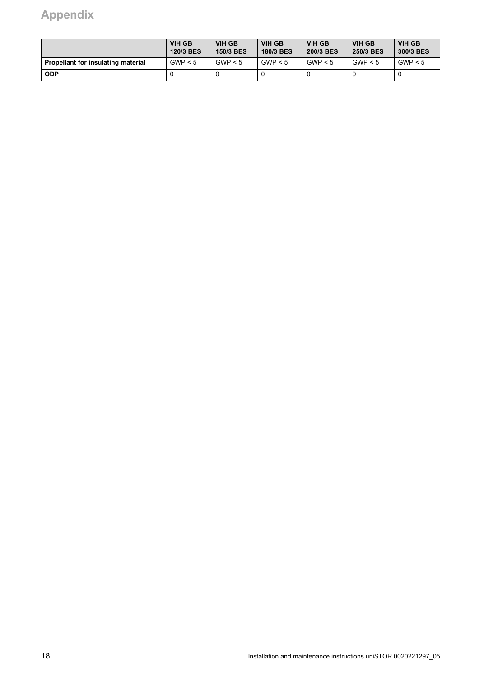# **Appendix**

|                                    | <b>VIH GB</b><br>120/3 BES | <b>VIH GB</b><br><b>150/3 BES</b> | <b>VIH GB</b><br>180/3 BES | <b>VIH GB</b><br>200/3 BES | <b>VIH GB</b><br>250/3 BES | <b>VIH GB</b><br>300/3 BES |
|------------------------------------|----------------------------|-----------------------------------|----------------------------|----------------------------|----------------------------|----------------------------|
| Propellant for insulating material | GWP < 5                    | GWP < 5                           | GWP < 5                    | GWP < 5                    | GWP < 5                    | GWP < 5                    |
| <b>ODP</b>                         |                            |                                   |                            |                            |                            |                            |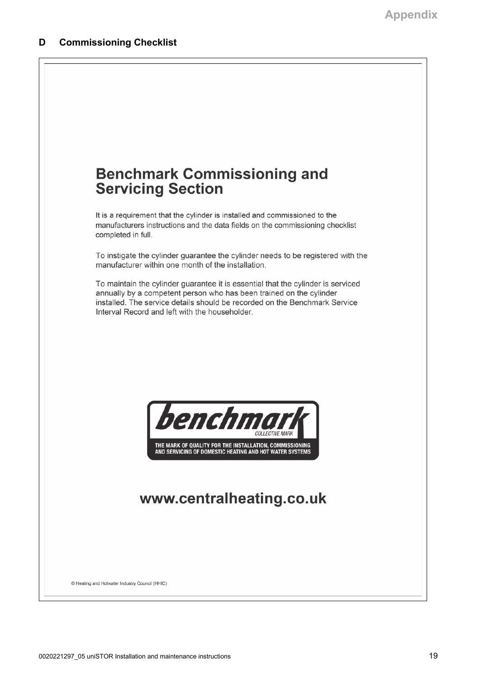<span id="page-18-0"></span>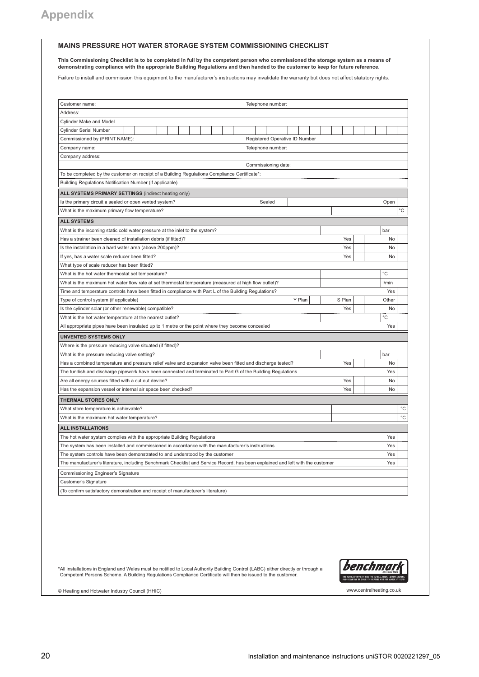#### **MAINS PRESSURE HOT WATER STORAGE SYSTEM COMMISSIONING CHECKLIST**

**This Commissioning Checklist is to be completed in full by the competent person who commissioned the storage system as a means of demonstrating compliance with the appropriate Building Regulations and then handed to the customer to keep for future reference.**

Failure to install and commission this equipment to the manufacturer's instructions may invalidate the warranty but does not affect statutory rights.

| Customer name:<br>Telephone number:                                                                                                                                          |        |                   |  |  |  |
|------------------------------------------------------------------------------------------------------------------------------------------------------------------------------|--------|-------------------|--|--|--|
| Address:                                                                                                                                                                     |        |                   |  |  |  |
| Cylinder Make and Model                                                                                                                                                      |        |                   |  |  |  |
| <b>Cylinder Serial Number</b>                                                                                                                                                |        |                   |  |  |  |
| Registered Operative ID Number<br>Commissioned by (PRINT NAME):                                                                                                              |        |                   |  |  |  |
| Telephone number:<br>Company name:                                                                                                                                           |        |                   |  |  |  |
| Company address:                                                                                                                                                             |        |                   |  |  |  |
| Commissioning date:                                                                                                                                                          |        |                   |  |  |  |
| To be completed by the customer on receipt of a Building Regulations Compliance Certificate*:                                                                                |        |                   |  |  |  |
| Building Regulations Notification Number (if applicable)                                                                                                                     |        |                   |  |  |  |
| ALL SYSTEMS PRIMARY SETTINGS (indirect heating only)                                                                                                                         |        |                   |  |  |  |
| Sealed<br>Is the primary circuit a sealed or open vented system?                                                                                                             |        | Open              |  |  |  |
| What is the maximum primary flow temperature?                                                                                                                                |        | °C                |  |  |  |
| <b>ALL SYSTEMS</b>                                                                                                                                                           |        |                   |  |  |  |
| What is the incoming static cold water pressure at the inlet to the system?                                                                                                  |        | bar               |  |  |  |
|                                                                                                                                                                              | Yes    | No                |  |  |  |
| Has a strainer been cleaned of installation debris (if fitted)?                                                                                                              | Yes    |                   |  |  |  |
| Is the installation in a hard water area (above 200ppm)?                                                                                                                     |        | No                |  |  |  |
| If yes, has a water scale reducer been fitted?                                                                                                                               | Yes    | No                |  |  |  |
| What type of scale reducer has been fitted?                                                                                                                                  |        | °C                |  |  |  |
| What is the hot water thermostat set temperature?                                                                                                                            |        |                   |  |  |  |
| What is the maximum hot water flow rate at set thermostat temperature (measured at high flow outlet)?                                                                        |        | l/min             |  |  |  |
| Time and temperature controls have been fitted in compliance with Part L of the Building Regulations?                                                                        |        | Yes               |  |  |  |
| Y Plan<br>Type of control system (if applicable)                                                                                                                             | S Plan | Other             |  |  |  |
| Is the cylinder solar (or other renewable) compatible?                                                                                                                       | Yes    | No                |  |  |  |
| What is the hot water temperature at the nearest outlet?                                                                                                                     |        | °C                |  |  |  |
| All appropriate pipes have been insulated up to 1 metre or the point where they become concealed                                                                             |        | Yes               |  |  |  |
| <b>UNVENTED SYSTEMS ONLY</b>                                                                                                                                                 |        |                   |  |  |  |
| Where is the pressure reducing valve situated (if fitted)?                                                                                                                   |        |                   |  |  |  |
| What is the pressure reducing valve setting?                                                                                                                                 |        | bar               |  |  |  |
| Has a combined temperature and pressure relief valve and expansion valve been fitted and discharge tested?                                                                   | Yes    | <b>No</b>         |  |  |  |
| Yes<br>The tundish and discharge pipework have been connected and terminated to Part G of the Building Regulations                                                           |        |                   |  |  |  |
|                                                                                                                                                                              |        |                   |  |  |  |
| Are all energy sources fitted with a cut out device?                                                                                                                         | Yes    | No                |  |  |  |
| Has the expansion vessel or internal air space been checked?                                                                                                                 | Yes    | No                |  |  |  |
| THERMAL STORES ONLY                                                                                                                                                          |        |                   |  |  |  |
| What store temperature is achievable?                                                                                                                                        |        | °C                |  |  |  |
| What is the maximum hot water temperature?                                                                                                                                   |        | $^{\circ}{\rm C}$ |  |  |  |
|                                                                                                                                                                              |        |                   |  |  |  |
| <b>ALL INSTALLATIONS</b>                                                                                                                                                     |        | Yes               |  |  |  |
| The hot water system complies with the appropriate Building Regulations<br>The system has been installed and commissioned in accordance with the manufacturer's instructions |        | Yes               |  |  |  |
| The system controls have been demonstrated to and understood by the customer                                                                                                 |        | Yes               |  |  |  |
| The manufacturer's literature, including Benchmark Checklist and Service Record, has been explained and left with the customer                                               |        | Yes               |  |  |  |
|                                                                                                                                                                              |        |                   |  |  |  |
| Commissioning Engineer's Signature                                                                                                                                           |        |                   |  |  |  |
| Customer's Signature<br>(To confirm satisfactory demonstration and receipt of manufacturer's literature)                                                                     |        |                   |  |  |  |

\*All installations in England and Wales must be notified to Local Authority Building Control (LABC) either directly or through a<br>Competent Persons Scheme. A Building Regulations Compliance Certificate will then be issued t



© Heating and Hotwater Industry Council (HHIC) www.centralheating.co.uk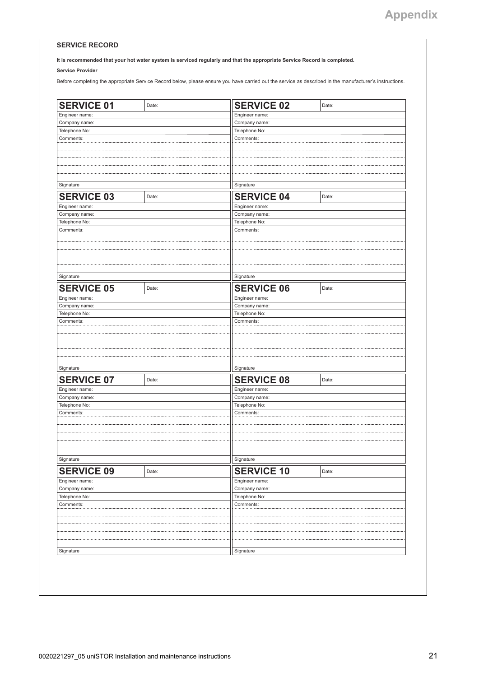#### **SERVICE RECORD**

**It is recommended that your hot water system is serviced regularly and that the appropriate Service Record is completed.**

**Service Provider**

Before completing the appropriate Service Record below, please ensure you have carried out the service as described in the manufacturer's instructions.

| <b>SERVICE 01</b> | Date: | <b>SERVICE 02</b> | Date:         |  |  |  |  |
|-------------------|-------|-------------------|---------------|--|--|--|--|
| Engineer name:    |       | Engineer name:    |               |  |  |  |  |
| Company name:     |       | Company name:     |               |  |  |  |  |
| Telephone No:     |       | Telephone No:     |               |  |  |  |  |
| Comments:         |       | Comments:         |               |  |  |  |  |
|                   |       |                   |               |  |  |  |  |
|                   |       |                   |               |  |  |  |  |
|                   |       |                   |               |  |  |  |  |
|                   |       |                   |               |  |  |  |  |
|                   |       |                   |               |  |  |  |  |
| Signature         |       | Signature         |               |  |  |  |  |
| <b>SERVICE 03</b> | Date: | <b>SERVICE 04</b> | Date:         |  |  |  |  |
| Engineer name:    |       | Engineer name:    |               |  |  |  |  |
| Company name:     |       | Company name:     |               |  |  |  |  |
| Telephone No:     |       | Telephone No:     |               |  |  |  |  |
| Comments:         |       | Comments:         |               |  |  |  |  |
|                   |       |                   |               |  |  |  |  |
|                   |       |                   |               |  |  |  |  |
|                   |       |                   |               |  |  |  |  |
|                   |       |                   |               |  |  |  |  |
|                   |       |                   |               |  |  |  |  |
| Signature         |       | Signature         |               |  |  |  |  |
| <b>SERVICE 05</b> | Date: | <b>SERVICE 06</b> | Date:         |  |  |  |  |
| Engineer name:    |       | Engineer name:    |               |  |  |  |  |
| Company name:     |       | Company name:     |               |  |  |  |  |
| Telephone No:     |       | Telephone No:     |               |  |  |  |  |
| Comments:         |       | Comments:         |               |  |  |  |  |
|                   |       |                   |               |  |  |  |  |
|                   |       |                   |               |  |  |  |  |
|                   |       |                   |               |  |  |  |  |
|                   |       |                   |               |  |  |  |  |
|                   |       |                   |               |  |  |  |  |
| Signature         |       | Signature         |               |  |  |  |  |
| <b>SERVICE 07</b> | Date: | <b>SERVICE 08</b> | Date:         |  |  |  |  |
| Engineer name:    |       | Engineer name:    |               |  |  |  |  |
| Company name:     |       | Company name:     |               |  |  |  |  |
| Telephone No:     |       | Telephone No:     |               |  |  |  |  |
| Comments:         |       | Comments:         |               |  |  |  |  |
|                   |       |                   |               |  |  |  |  |
|                   |       |                   |               |  |  |  |  |
|                   |       |                   |               |  |  |  |  |
|                   |       |                   |               |  |  |  |  |
|                   |       |                   |               |  |  |  |  |
| Signature         |       | Signature         |               |  |  |  |  |
| <b>SERVICE 09</b> | Date: | <b>SERVICE 10</b> | Date:         |  |  |  |  |
| Engineer name:    |       | Engineer name:    |               |  |  |  |  |
| Company name:     |       | Company name:     |               |  |  |  |  |
| Telephone No:     |       |                   | Telephone No: |  |  |  |  |
| Comments:         |       | Comments:         |               |  |  |  |  |
|                   |       |                   |               |  |  |  |  |
|                   |       |                   |               |  |  |  |  |
|                   |       |                   |               |  |  |  |  |
|                   |       |                   |               |  |  |  |  |
|                   |       |                   |               |  |  |  |  |
| Signature         |       | Signature         |               |  |  |  |  |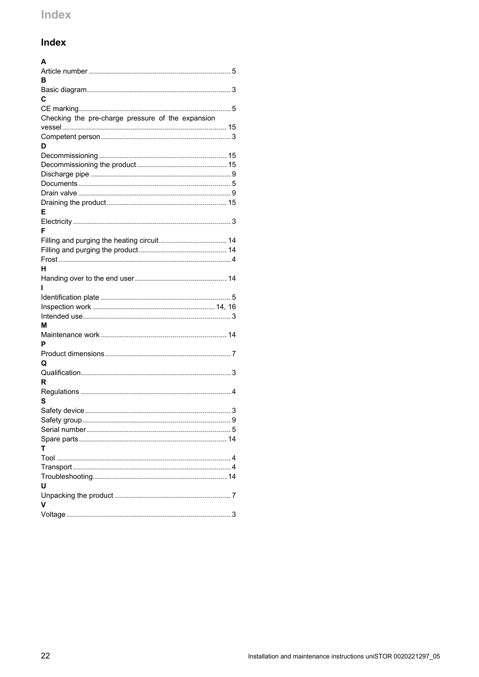# <span id="page-21-0"></span>Index

| A                                                 |  |
|---------------------------------------------------|--|
|                                                   |  |
| в                                                 |  |
|                                                   |  |
| C                                                 |  |
|                                                   |  |
| Checking the pre-charge pressure of the expansion |  |
|                                                   |  |
|                                                   |  |
| D                                                 |  |
|                                                   |  |
|                                                   |  |
|                                                   |  |
|                                                   |  |
|                                                   |  |
| Е                                                 |  |
|                                                   |  |
| F                                                 |  |
|                                                   |  |
|                                                   |  |
|                                                   |  |
| н                                                 |  |
|                                                   |  |
| ı                                                 |  |
|                                                   |  |
|                                                   |  |
|                                                   |  |
| М                                                 |  |
|                                                   |  |
| P                                                 |  |
|                                                   |  |
| Q                                                 |  |
|                                                   |  |
| R                                                 |  |
|                                                   |  |
| s                                                 |  |
|                                                   |  |
|                                                   |  |
|                                                   |  |
|                                                   |  |
| т                                                 |  |
|                                                   |  |
|                                                   |  |
|                                                   |  |
| U                                                 |  |
| v                                                 |  |
|                                                   |  |
|                                                   |  |